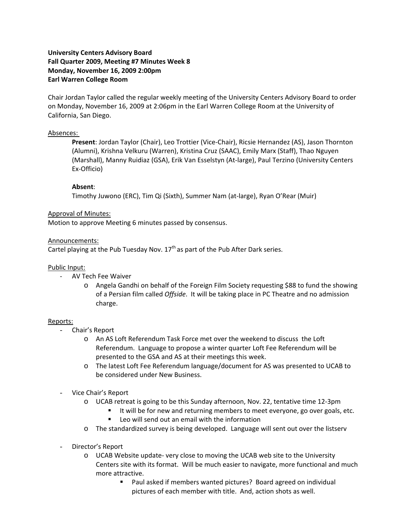# **University Centers Advisory Board Fall Quarter 2009, Meeting #7 Minutes Week 8 Monday, November 16, 2009 2:00pm Earl Warren College Room**

Chair Jordan Taylor called the regular weekly meeting of the University Centers Advisory Board to order on Monday, November 16, 2009 at 2:06pm in the Earl Warren College Room at the University of California, San Diego.

# Absences:

**Present**: Jordan Taylor (Chair), Leo Trottier (Vice‐Chair), Ricsie Hernandez (AS), Jason Thornton (Alumni), Krishna Velkuru (Warren), Kristina Cruz (SAAC), Emily Marx (Staff), Thao Nguyen (Marshall), Manny Ruidiaz (GSA), Erik Van Esselstyn (At‐large), Paul Terzino (University Centers Ex‐Officio)

# **Absent**:

Timothy Juwono (ERC), Tim Qi (Sixth), Summer Nam (at‐large), Ryan O'Rear (Muir)

### Approval of Minutes:

Motion to approve Meeting 6 minutes passed by consensus.

#### Announcements:

Cartel playing at the Pub Tuesday Nov.  $17<sup>th</sup>$  as part of the Pub After Dark series.

### Public Input:

- ‐ AV Tech Fee Waiver
	- o Angela Gandhi on behalf of the Foreign Film Society requesting \$88 to fund the showing of a Persian film called *Offside*. It will be taking place in PC Theatre and no admission charge.

#### Reports:

- Chair's Report
	- o An AS Loft Referendum Task Force met over the weekend to discuss the Loft Referendum. Language to propose a winter quarter Loft Fee Referendum will be presented to the GSA and AS at their meetings this week.
	- o The latest Loft Fee Referendum language/document for AS was presented to UCAB to be considered under New Business.
- Vice Chair's Report
	- o UCAB retreat is going to be this Sunday afternoon, Nov. 22, tentative time 12‐3pm
		- It will be for new and returning members to meet everyone, go over goals, etc.
		- Leo will send out an email with the information
	- o The standardized survey is being developed. Language will sent out over the listserv
- Director's Report
	- o UCAB Website update‐ very close to moving the UCAB web site to the University Centers site with its format. Will be much easier to navigate, more functional and much more attractive.
		- Paul asked if members wanted pictures? Board agreed on individual pictures of each member with title. And, action shots as well.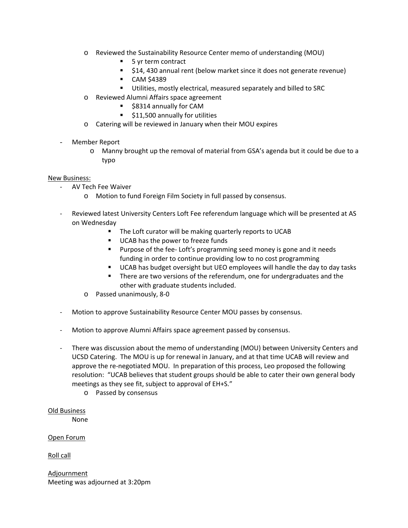- o Reviewed the Sustainability Resource Center memo of understanding (MOU)
	- 5 yr term contract
	- **514, 430 annual rent (below market since it does not generate revenue)**
	- **CAM \$4389**
	- **Utilities, mostly electrical, measured separately and billed to SRC**
- o Reviewed Alumni Affairs space agreement
	- **58314 annually for CAM**
	- **511,500 annually for utilities**
- o Catering will be reviewed in January when their MOU expires
- Member Report
	- o Manny brought up the removal of material from GSA's agenda but it could be due to a typo

# New Business:

- ‐ AV Tech Fee Waiver
	- o Motion to fund Foreign Film Society in full passed by consensus.
- ‐ Reviewed latest University Centers Loft Fee referendum language which will be presented at AS on Wednesday
	- The Loft curator will be making quarterly reports to UCAB
	- UCAB has the power to freeze funds
	- Purpose of the fee-Loft's programming seed money is gone and it needs funding in order to continue providing low to no cost programming
	- UCAB has budget oversight but UEO employees will handle the day to day tasks
	- There are two versions of the referendum, one for undergraduates and the other with graduate students included.
	- o Passed unanimously, 8‐0
- ‐ Motion to approve Sustainability Resource Center MOU passes by consensus.
- ‐ Motion to approve Alumni Affairs space agreement passed by consensus.
- ‐ There was discussion about the memo of understanding (MOU) between University Centers and UCSD Catering. The MOU is up for renewal in January, and at that time UCAB will review and approve the re‐negotiated MOU. In preparation of this process, Leo proposed the following resolution: "UCAB believes that student groups should be able to cater their own general body meetings as they see fit, subject to approval of EH+S."
	- o Passed by consensus

Old Business

None

Open Forum

Roll call

Adjournment Meeting was adjourned at 3:20pm